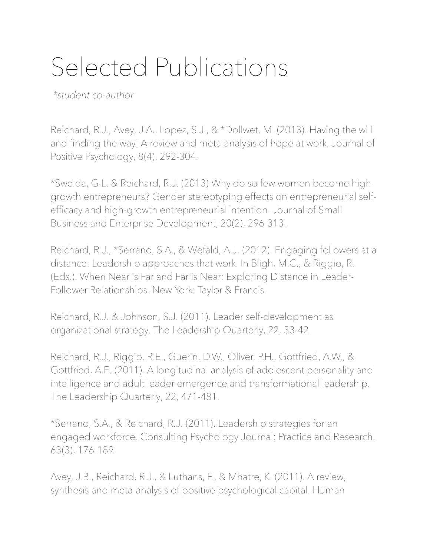## Selected Publications

 *\*student co-author*

Reichard, R.J., Avey, J.A., Lopez, S.J., & \*Dollwet, M. (2013). Having the will and finding the way: A review and meta-analysis of hope at work. Journal of Positive Psychology, 8(4), 292-304.

\*Sweida, G.L. & Reichard, R.J. (2013) Why do so few women become highgrowth entrepreneurs? Gender stereotyping effects on entrepreneurial selfefficacy and high-growth entrepreneurial intention. Journal of Small Business and Enterprise Development, 20(2), 296-313.

Reichard, R.J., \*Serrano, S.A., & Wefald, A.J. (2012). Engaging followers at a distance: Leadership approaches that work. In Bligh, M.C., & Riggio, R. (Eds.). When Near is Far and Far is Near: Exploring Distance in Leader-Follower Relationships. New York: Taylor & Francis.

Reichard, R.J. & Johnson, S.J. (2011). Leader self-development as organizational strategy. The Leadership Quarterly, 22, 33-42.

Reichard, R.J., Riggio, R.E., Guerin, D.W., Oliver, P.H., Gottfried, A.W., & Gottfried, A.E. (2011). A longitudinal analysis of adolescent personality and intelligence and adult leader emergence and transformational leadership. The Leadership Quarterly, 22, 471-481.

\*Serrano, S.A., & Reichard, R.J. (2011). Leadership strategies for an engaged workforce. Consulting Psychology Journal: Practice and Research, 63(3), 176-189.

Avey, J.B., Reichard, R.J., & Luthans, F., & Mhatre, K. (2011). A review, synthesis and meta-analysis of positive psychological capital. Human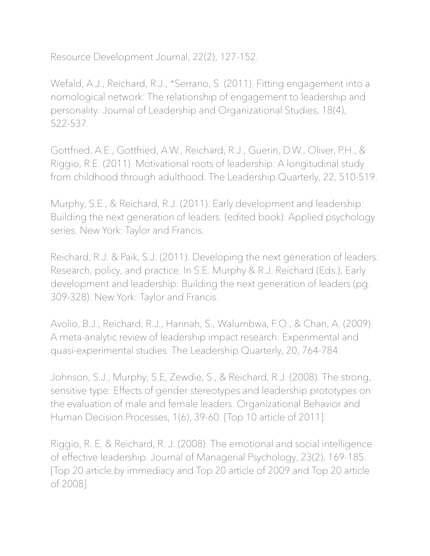Resource Development Journal, 22(2), 127-152.

Wefald, A.J., Reichard, R.J., \*Serrano, S. (2011). Fitting engagement into a nomological network: The relationship of engagement to leadership and personality. Journal of Leadership and Organizational Studies, 18(4), 522-537.

Gottfried, A.E., Gottfried, A.W., Reichard, R.J., Guerin, D.W., Oliver, P.H., & Riggio, R.E. (2011). Motivational roots of leadership: A longitudinal study from childhood through adulthood. The Leadership Quarterly, 22, 510-519.

Murphy, S.E., & Reichard, R.J. (2011). Early development and leadership: Building the next generation of leaders. (edited book). Applied psychology series. New York: Taylor and Francis.

Reichard, R.J. & Paik, S.J. (2011). Developing the next generation of leaders: Research, policy, and practice. In S.E. Murphy & R.J. Reichard (Eds.), Early development and leadership: Building the next generation of leaders (pg. 309-328). New York: Taylor and Francis.

Avolio, B.J., Reichard, R.J., Hannah, S., Walumbwa, F.O., & Chan, A. (2009). A meta-analytic review of leadership impact research: Experimental and quasi-experimental studies. The Leadership Quarterly, 20, 764-784.

Johnson, S.J., Murphy, S.E, Zewdie, S., & Reichard, R.J. (2008). The strong, sensitive type: Effects of gender stereotypes and leadership prototypes on the evaluation of male and female leaders. Organizational Behavior and Human Decision Processes, 1(6), 39-60. [Top 10 article of 2011]

Riggio, R. E. & Reichard, R. J. (2008). The emotional and social intelligence of effective leadership. Journal of Managerial Psychology, 23(2), 169-185. [Top 20 article by immediacy and Top 20 article of 2009 and Top 20 article of 2008]